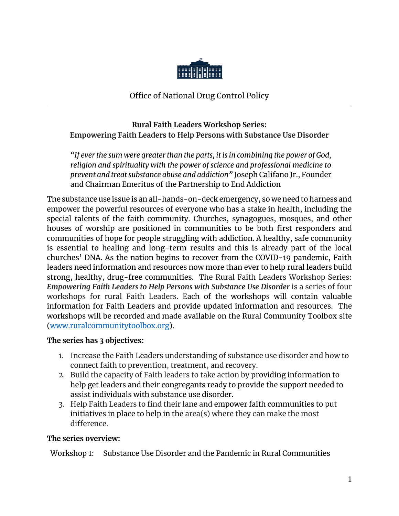

Office of National Drug Control Policy

## **Rural Faith Leaders Workshop Series: Empowering Faith Leaders to Help Persons with Substance Use Disorder**

*"If ever the sum were greater than the parts, it is in combining the power of God, religion and spirituality with the power of science and professional medicine to prevent and treat substance abuse and addiction"* Joseph Califano Jr., Founder and Chairman Emeritus of the Partnership to End Addiction

The substance use issue is an all-hands-on-deck emergency, so we need to harness and empower the powerful resources of everyone who has a stake in health, including the special talents of the faith community. Churches, synagogues, mosques, and other houses of worship are positioned in communities to be both first responders and communities of hope for people struggling with addiction. A healthy, safe community is essential to healing and long-term results and this is already part of the local churches' DNA. As the nation begins to recover from the COVID-19 pandemic, Faith leaders need information and resources now more than ever to help rural leaders build strong, healthy, drug-free communities. The Rural Faith Leaders Workshop Series: *Empowering Faith Leaders to Help Persons with Substance Use Disorder* is a series of four workshops for rural Faith Leaders. Each of the workshops will contain valuable information for Faith Leaders and provide updated information and resources. The workshops will be recorded and made available on the Rural Community Toolbox site [\(www.ruralcommunitytoolbox.org\)](http://www.ruralcommunitytoolbox.org/).

#### **The series has 3 objectives:**

- 1. Increase the Faith Leaders understanding of substance use disorder and how to connect faith to prevention, treatment, and recovery.
- 2. Build the capacity of Faith leaders to take action by providing information to help get leaders and their congregants ready to provide the support needed to assist individuals with substance use disorder.
- 3. Help Faith Leaders to find their lane and empower faith communities to put initiatives in place to help in the area(s) where they can make the most difference.

## **The series overview:**

Workshop 1: Substance Use Disorder and the Pandemic in Rural Communities